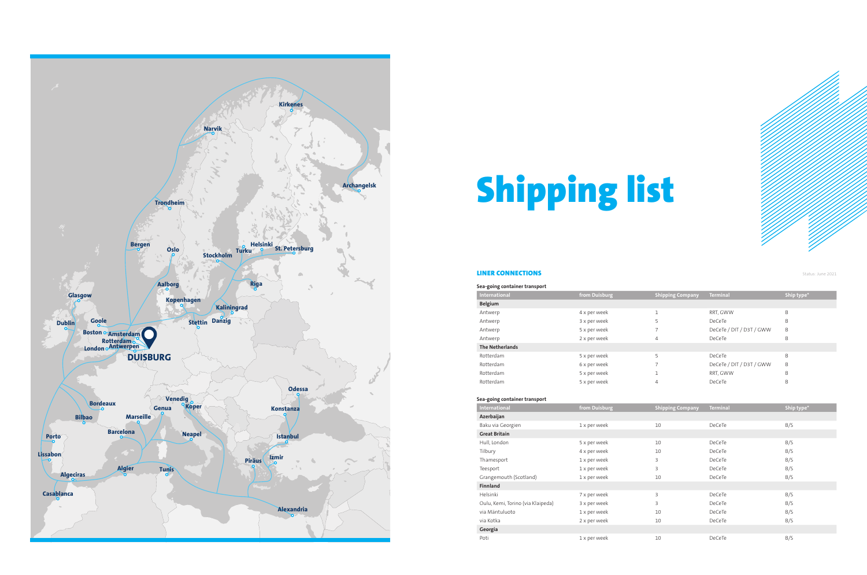

### LINER CONNECTIONS

# Shipping list

Status: June 2021

| Sea-going container transport |               |                         |                          |            |
|-------------------------------|---------------|-------------------------|--------------------------|------------|
| International                 | from Duisburg | <b>Shipping Company</b> | <b>Terminal</b>          | Ship type* |
| Belgium                       |               |                         |                          |            |
| Antwerp                       | 4 x per week  |                         | RRT, GWW                 | B          |
| Antwerp                       | 3 x per week  | 5                       | DeCeTe                   | B          |
| Antwerp                       | 5 x per week  |                         | DeCeTe / DIT / D3T / GWW | B          |
| Antwerp                       | 2 x per week  | 4                       | DeCeTe                   | B          |
| <b>The Netherlands</b>        |               |                         |                          |            |
| Rotterdam                     | 5 x per week  | 5                       | DeCeTe                   | B          |
| Rotterdam                     | 6 x per week  |                         | DeCeTe / DIT / D3T / GWW | B          |
| Rotterdam                     | 5 x per week  |                         | RRT, GWW                 | B          |
| Rotterdam                     | 5 x per week  | $\overline{4}$          | DeCeTe                   | B          |

### **Sea-going container transport**

| International                     | from Duisburg | <b>Shipping Company</b> | <b>Terminal</b> | Ship type* |
|-----------------------------------|---------------|-------------------------|-----------------|------------|
| Azerbaijan                        |               |                         |                 |            |
| Baku via Georgien                 | 1 x per week  | 10                      | <b>DeCeTe</b>   | B/S        |
| <b>Great Britain</b>              |               |                         |                 |            |
| Hull, London                      | 5 x per week  | 10                      | <b>DeCeTe</b>   | B/S        |
| Tilbury                           | 4 x per week  | 10                      | DeCeTe          | B/S        |
| Thamesport                        | 1 x per week  | 3                       | DeCeTe          | B/S        |
| Teesport                          | 1 x per week  | 3                       | DeCeTe          | B/S        |
| Grangemouth (Scotland)            | 1 x per week  | 10                      | <b>DeCeTe</b>   | B/S        |
| Finnland                          |               |                         |                 |            |
| Helsinki                          | 7 x per week  | 3                       | <b>DeCeTe</b>   | B/S        |
| Oulu, Kemi, Torino (via Klaipeda) | 3 x per week  | 3                       | DeCeTe          | B/S        |
| via Mäntuluoto                    | 1 x per week  | 10                      | DeCeTe          | B/S        |
| via Kotka                         | 2 x per week  | 10                      | DeCeTe          | B/S        |
| Georgia                           |               |                         |                 |            |
| Poti                              | 1 x per week  | 10                      | DeCeTe          | B/S        |